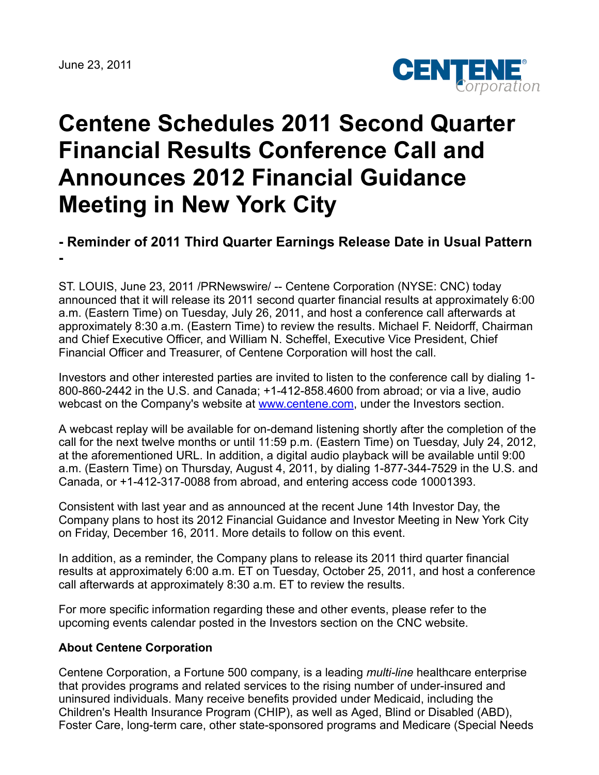

## **Centene Schedules 2011 Second Quarter Financial Results Conference Call and Announces 2012 Financial Guidance Meeting in New York City**

## **- Reminder of 2011 Third Quarter Earnings Release Date in Usual Pattern**

**-**

ST. LOUIS, June 23, 2011 /PRNewswire/ -- Centene Corporation (NYSE: CNC) today announced that it will release its 2011 second quarter financial results at approximately 6:00 a.m. (Eastern Time) on Tuesday, July 26, 2011, and host a conference call afterwards at approximately 8:30 a.m. (Eastern Time) to review the results. Michael F. Neidorff, Chairman and Chief Executive Officer, and William N. Scheffel, Executive Vice President, Chief Financial Officer and Treasurer, of Centene Corporation will host the call.

Investors and other interested parties are invited to listen to the conference call by dialing 1- 800-860-2442 in the U.S. and Canada; +1-412-858.4600 from abroad; or via a live, audio webcast on the Company's website at [www.centene.com,](http://www.centene.com/) under the Investors section.

A webcast replay will be available for on-demand listening shortly after the completion of the call for the next twelve months or until 11:59 p.m. (Eastern Time) on Tuesday, July 24, 2012, at the aforementioned URL. In addition, a digital audio playback will be available until 9:00 a.m. (Eastern Time) on Thursday, August 4, 2011, by dialing 1-877-344-7529 in the U.S. and Canada, or +1-412-317-0088 from abroad, and entering access code 10001393.

Consistent with last year and as announced at the recent June 14th Investor Day, the Company plans to host its 2012 Financial Guidance and Investor Meeting in New York City on Friday, December 16, 2011. More details to follow on this event.

In addition, as a reminder, the Company plans to release its 2011 third quarter financial results at approximately 6:00 a.m. ET on Tuesday, October 25, 2011, and host a conference call afterwards at approximately 8:30 a.m. ET to review the results.

For more specific information regarding these and other events, please refer to the upcoming events calendar posted in the Investors section on the CNC website.

## **About Centene Corporation**

Centene Corporation, a Fortune 500 company, is a leading *multi-line* healthcare enterprise that provides programs and related services to the rising number of under-insured and uninsured individuals. Many receive benefits provided under Medicaid, including the Children's Health Insurance Program (CHIP), as well as Aged, Blind or Disabled (ABD), Foster Care, long-term care, other state-sponsored programs and Medicare (Special Needs